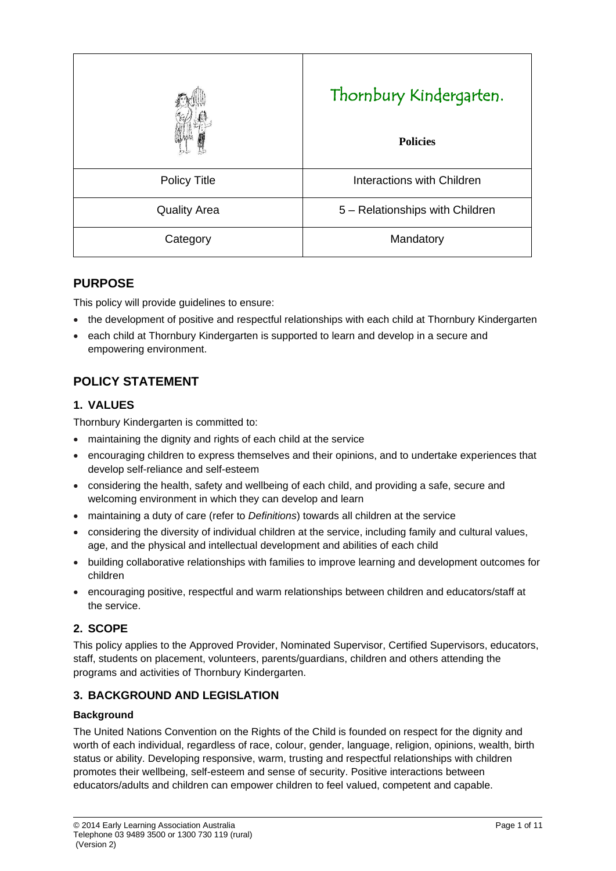|                     | Thornbury Kindergarten.<br><b>Policies</b> |
|---------------------|--------------------------------------------|
| <b>Policy Title</b> | Interactions with Children                 |
| <b>Quality Area</b> | 5 - Relationships with Children            |
| Category            | Mandatory                                  |

# **PURPOSE**

This policy will provide guidelines to ensure:

- the development of positive and respectful relationships with each child at Thornbury Kindergarten
- each child at Thornbury Kindergarten is supported to learn and develop in a secure and empowering environment.

# **POLICY STATEMENT**

## **1. VALUES**

Thornbury Kindergarten is committed to:

- maintaining the dignity and rights of each child at the service
- encouraging children to express themselves and their opinions, and to undertake experiences that develop self-reliance and self-esteem
- considering the health, safety and wellbeing of each child, and providing a safe, secure and welcoming environment in which they can develop and learn
- maintaining a duty of care (refer to *Definitions*) towards all children at the service
- considering the diversity of individual children at the service, including family and cultural values, age, and the physical and intellectual development and abilities of each child
- building collaborative relationships with families to improve learning and development outcomes for children
- encouraging positive, respectful and warm relationships between children and educators/staff at the service.

# **2. SCOPE**

This policy applies to the Approved Provider, Nominated Supervisor, Certified Supervisors, educators, staff, students on placement, volunteers, parents/guardians, children and others attending the programs and activities of Thornbury Kindergarten.

# **3. BACKGROUND AND LEGISLATION**

### **Background**

The United Nations Convention on the Rights of the Child is founded on respect for the dignity and worth of each individual, regardless of race, colour, gender, language, religion, opinions, wealth, birth status or ability. Developing responsive, warm, trusting and respectful relationships with children promotes their wellbeing, self-esteem and sense of security. Positive interactions between educators/adults and children can empower children to feel valued, competent and capable.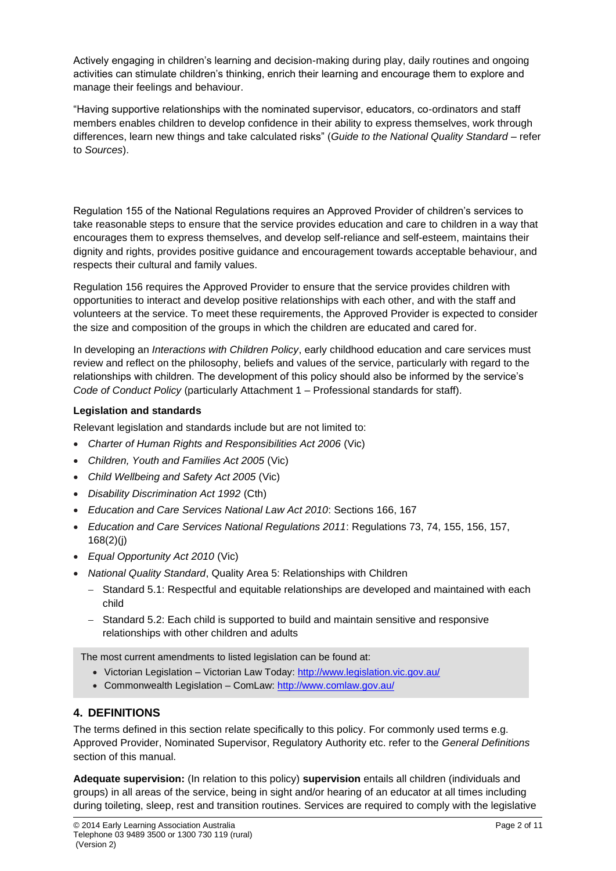Actively engaging in children's learning and decision-making during play, daily routines and ongoing activities can stimulate children's thinking, enrich their learning and encourage them to explore and manage their feelings and behaviour.

"Having supportive relationships with the nominated supervisor, educators, co-ordinators and staff members enables children to develop confidence in their ability to express themselves, work through differences, learn new things and take calculated risks" (*Guide to the National Quality Standard* – refer to *Sources*).

Regulation 155 of the National Regulations requires an Approved Provider of children's services to take reasonable steps to ensure that the service provides education and care to children in a way that encourages them to express themselves, and develop self-reliance and self-esteem, maintains their dignity and rights, provides positive guidance and encouragement towards acceptable behaviour, and respects their cultural and family values.

Regulation 156 requires the Approved Provider to ensure that the service provides children with opportunities to interact and develop positive relationships with each other, and with the staff and volunteers at the service. To meet these requirements, the Approved Provider is expected to consider the size and composition of the groups in which the children are educated and cared for.

In developing an *Interactions with Children Policy*, early childhood education and care services must review and reflect on the philosophy, beliefs and values of the service, particularly with regard to the relationships with children. The development of this policy should also be informed by the service's *Code of Conduct Policy* (particularly Attachment 1 – Professional standards for staff).

### **Legislation and standards**

Relevant legislation and standards include but are not limited to:

- *Charter of Human Rights and Responsibilities Act 2006* (Vic)
- *Children, Youth and Families Act 2005* (Vic)
- *Child Wellbeing and Safety Act 2005* (Vic)
- *Disability Discrimination Act 1992* (Cth)
- *Education and Care Services National Law Act 2010*: Sections 166, 167
- *Education and Care Services National Regulations 2011*: Regulations 73, 74, 155, 156, 157, 168(2)(j)
- *Equal Opportunity Act 2010* (Vic)
- *National Quality Standard*, Quality Area 5: Relationships with Children
	- − Standard 5.1: Respectful and equitable relationships are developed and maintained with each child
	- − Standard 5.2: Each child is supported to build and maintain sensitive and responsive relationships with other children and adults

The most current amendments to listed legislation can be found at:

- Victorian Legislation Victorian Law Today:<http://www.legislation.vic.gov.au/>
- Commonwealth Legislation ComLaw: <http://www.comlaw.gov.au/>

### **4. DEFINITIONS**

The terms defined in this section relate specifically to this policy. For commonly used terms e.g. Approved Provider, Nominated Supervisor, Regulatory Authority etc. refer to the *General Definitions* section of this manual.

**Adequate supervision:** (In relation to this policy) **supervision** entails all children (individuals and groups) in all areas of the service, being in sight and/or hearing of an educator at all times including during toileting, sleep, rest and transition routines. Services are required to comply with the legislative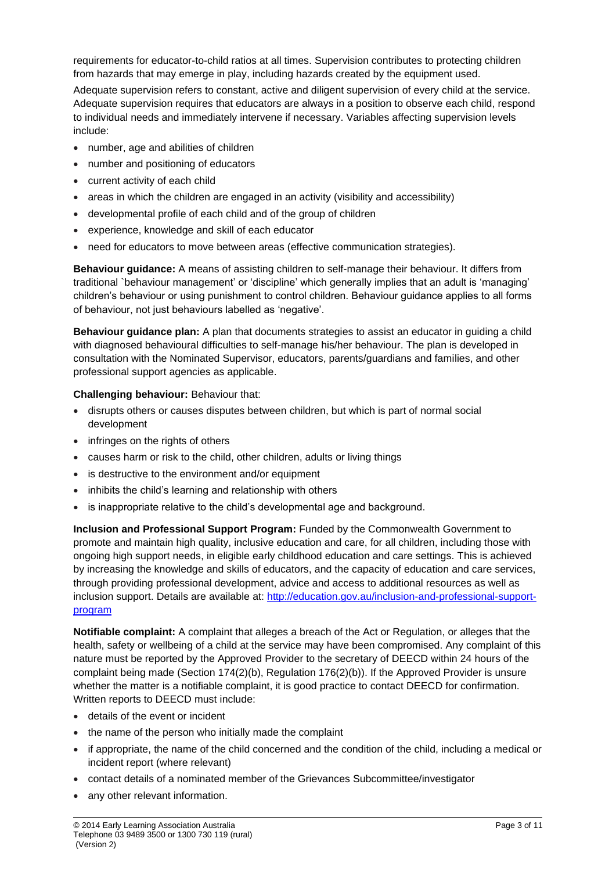requirements for educator-to-child ratios at all times. Supervision contributes to protecting children from hazards that may emerge in play, including hazards created by the equipment used.

Adequate supervision refers to constant, active and diligent supervision of every child at the service. Adequate supervision requires that educators are always in a position to observe each child, respond to individual needs and immediately intervene if necessary. Variables affecting supervision levels include:

- number, age and abilities of children
- number and positioning of educators
- current activity of each child
- areas in which the children are engaged in an activity (visibility and accessibility)
- developmental profile of each child and of the group of children
- experience, knowledge and skill of each educator
- need for educators to move between areas (effective communication strategies).

**Behaviour guidance:** A means of assisting children to self-manage their behaviour. It differs from traditional `behaviour management' or 'discipline' which generally implies that an adult is 'managing' children's behaviour or using punishment to control children. Behaviour guidance applies to all forms of behaviour, not just behaviours labelled as 'negative'.

**Behaviour guidance plan:** A plan that documents strategies to assist an educator in guiding a child with diagnosed behavioural difficulties to self-manage his/her behaviour. The plan is developed in consultation with the Nominated Supervisor, educators, parents/guardians and families, and other professional support agencies as applicable.

#### **Challenging behaviour:** Behaviour that:

- disrupts others or causes disputes between children, but which is part of normal social development
- infringes on the rights of others
- causes harm or risk to the child, other children, adults or living things
- is destructive to the environment and/or equipment
- inhibits the child's learning and relationship with others
- is inappropriate relative to the child's developmental age and background.

**Inclusion and Professional Support Program:** Funded by the Commonwealth Government to promote and maintain high quality, inclusive education and care, for all children, including those with ongoing high support needs, in eligible early childhood education and care settings. This is achieved by increasing the knowledge and skills of educators, and the capacity of education and care services, through providing professional development, advice and access to additional resources as well as inclusion support. Details are available at: [http://education.gov.au/inclusion-and-professional-support](http://education.gov.au/inclusion-and-professional-support-program)[program](http://education.gov.au/inclusion-and-professional-support-program)

**Notifiable complaint:** A complaint that alleges a breach of the Act or Regulation, or alleges that the health, safety or wellbeing of a child at the service may have been compromised. Any complaint of this nature must be reported by the Approved Provider to the secretary of DEECD within 24 hours of the complaint being made (Section 174(2)(b), Regulation 176(2)(b)). If the Approved Provider is unsure whether the matter is a notifiable complaint, it is good practice to contact DEECD for confirmation. Written reports to DEECD must include:

- details of the event or incident
- the name of the person who initially made the complaint
- if appropriate, the name of the child concerned and the condition of the child, including a medical or incident report (where relevant)
- contact details of a nominated member of the Grievances Subcommittee/investigator
- any other relevant information.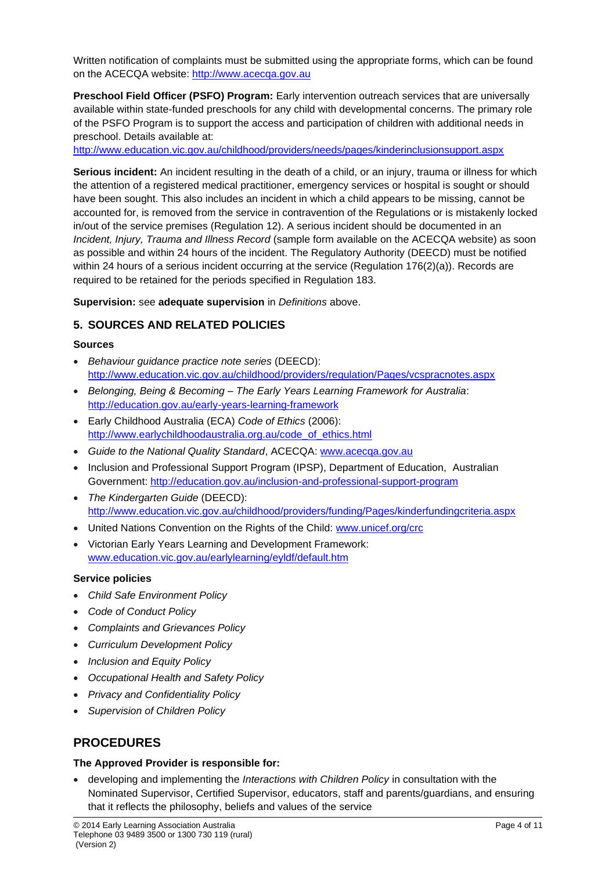Written notification of complaints must be submitted using the appropriate forms, which can be found on the ACECQA website: [http://www.acecqa.gov.au](http://www.acecqa.gov.au/)

**Preschool Field Officer (PSFO) Program:** Early intervention outreach services that are universally available within state-funded preschools for any child with developmental concerns. The primary role of the PSFO Program is to support the access and participation of children with additional needs in preschool. Details available at:

<http://www.education.vic.gov.au/childhood/providers/needs/pages/kinderinclusionsupport.aspx>

**Serious incident:** An incident resulting in the death of a child, or an injury, trauma or illness for which the attention of a registered medical practitioner, emergency services or hospital is sought or should have been sought. This also includes an incident in which a child appears to be missing, cannot be accounted for, is removed from the service in contravention of the Regulations or is mistakenly locked in/out of the service premises (Regulation 12). A serious incident should be documented in an *Incident, Injury, Trauma and Illness Record* (sample form available on the ACECQA website) as soon as possible and within 24 hours of the incident. The Regulatory Authority (DEECD) must be notified within 24 hours of a serious incident occurring at the service (Regulation 176(2)(a)). Records are required to be retained for the periods specified in Regulation 183.

**Supervision:** see **adequate supervision** in *Definitions* above.

## **5. SOURCES AND RELATED POLICIES**

#### **Sources**

- *Behaviour guidance practice note series* (DEECD): <http://www.education.vic.gov.au/childhood/providers/regulation/Pages/vcspracnotes.aspx>
- *Belonging, Being & Becoming – The Early Years Learning Framework for Australia*: <http://education.gov.au/early-years-learning-framework>
- Early Childhood Australia (ECA) *Code of Ethics* (2006): [http://www.earlychildhoodaustralia.org.au/code\\_of\\_ethics.html](http://www.earlychildhoodaustralia.org.au/code_of_ethics.html)
- *Guide to the National Quality Standard*, ACECQA: [www.acecqa.gov.au](http://www.acecqa.gov.au/)
- Inclusion and Professional Support Program (IPSP), Department of Education, Australian Government:<http://education.gov.au/inclusion-and-professional-support-program>
- *The Kindergarten Guide* (DEECD): <http://www.education.vic.gov.au/childhood/providers/funding/Pages/kinderfundingcriteria.aspx>
- United Nations Convention on the Rights of the Child: [www.unicef.org/crc](http://www.unicef.org/crc)
- Victorian Early Years Learning and Development Framework: [www.education.vic.gov.au/earlylearning/eyldf/default.htm](http://www.education.vic.gov.au/earlylearning/eyldf/default.htm)

### **Service policies**

- *Child Safe Environment Policy*
- *Code of Conduct Policy*
- *Complaints and Grievances Policy*
- *Curriculum Development Policy*
- *Inclusion and Equity Policy*
- *Occupational Health and Safety Policy*
- *Privacy and Confidentiality Policy*
- *Supervision of Children Policy*

# **PROCEDURES**

### **The Approved Provider is responsible for:**

• developing and implementing the *Interactions with Children Policy* in consultation with the Nominated Supervisor, Certified Supervisor, educators, staff and parents/guardians, and ensuring that it reflects the philosophy, beliefs and values of the service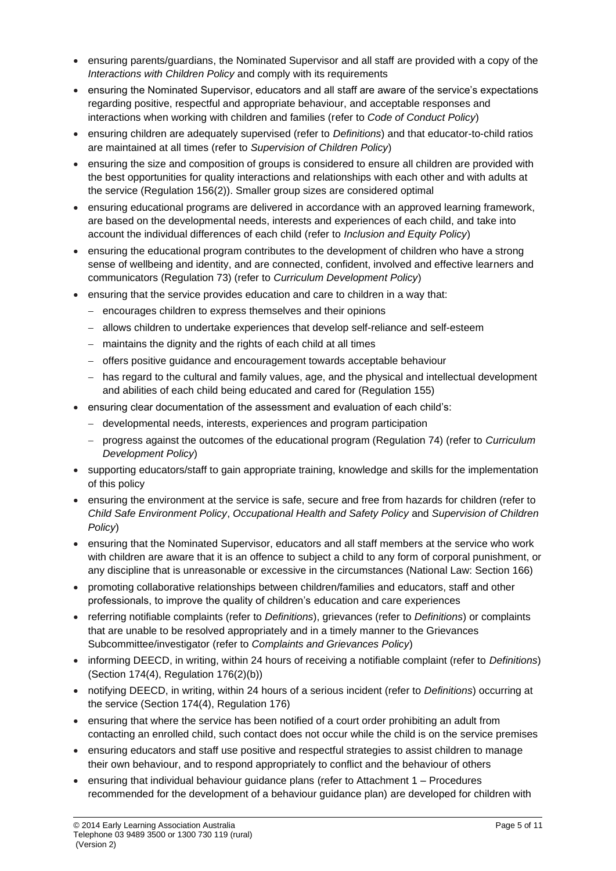- ensuring parents/guardians, the Nominated Supervisor and all staff are provided with a copy of the *Interactions with Children Policy* and comply with its requirements
- ensuring the Nominated Supervisor, educators and all staff are aware of the service's expectations regarding positive, respectful and appropriate behaviour, and acceptable responses and interactions when working with children and families (refer to *Code of Conduct Policy*)
- ensuring children are adequately supervised (refer to *Definitions*) and that educator-to-child ratios are maintained at all times (refer to *Supervision of Children Policy*)
- ensuring the size and composition of groups is considered to ensure all children are provided with the best opportunities for quality interactions and relationships with each other and with adults at the service (Regulation 156(2)). Smaller group sizes are considered optimal
- ensuring educational programs are delivered in accordance with an approved learning framework, are based on the developmental needs, interests and experiences of each child, and take into account the individual differences of each child (refer to *Inclusion and Equity Policy*)
- ensuring the educational program contributes to the development of children who have a strong sense of wellbeing and identity, and are connected, confident, involved and effective learners and communicators (Regulation 73) (refer to *Curriculum Development Policy*)
- ensuring that the service provides education and care to children in a way that:
	- − encourages children to express themselves and their opinions
	- − allows children to undertake experiences that develop self-reliance and self-esteem
	- − maintains the dignity and the rights of each child at all times
	- − offers positive guidance and encouragement towards acceptable behaviour
	- − has regard to the cultural and family values, age, and the physical and intellectual development and abilities of each child being educated and cared for (Regulation 155)
- ensuring clear documentation of the assessment and evaluation of each child's:
	- − developmental needs, interests, experiences and program participation
	- − progress against the outcomes of the educational program (Regulation 74) (refer to *Curriculum Development Policy*)
- supporting educators/staff to gain appropriate training, knowledge and skills for the implementation of this policy
- ensuring the environment at the service is safe, secure and free from hazards for children (refer to *Child Safe Environment Policy*, *Occupational Health and Safety Policy* and *Supervision of Children Policy*)
- ensuring that the Nominated Supervisor, educators and all staff members at the service who work with children are aware that it is an offence to subject a child to any form of corporal punishment, or any discipline that is unreasonable or excessive in the circumstances (National Law: Section 166)
- promoting collaborative relationships between children/families and educators, staff and other professionals, to improve the quality of children's education and care experiences
- referring notifiable complaints (refer to *Definitions*), grievances (refer to *Definitions*) or complaints that are unable to be resolved appropriately and in a timely manner to the Grievances Subcommittee/investigator (refer to *Complaints and Grievances Policy*)
- informing DEECD, in writing, within 24 hours of receiving a notifiable complaint (refer to *Definitions*) (Section 174(4), Regulation 176(2)(b))
- notifying DEECD, in writing, within 24 hours of a serious incident (refer to *Definitions*) occurring at the service (Section 174(4), Regulation 176)
- ensuring that where the service has been notified of a court order prohibiting an adult from contacting an enrolled child, such contact does not occur while the child is on the service premises
- ensuring educators and staff use positive and respectful strategies to assist children to manage their own behaviour, and to respond appropriately to conflict and the behaviour of others
- ensuring that individual behaviour guidance plans (refer to Attachment 1 Procedures recommended for the development of a behaviour guidance plan) are developed for children with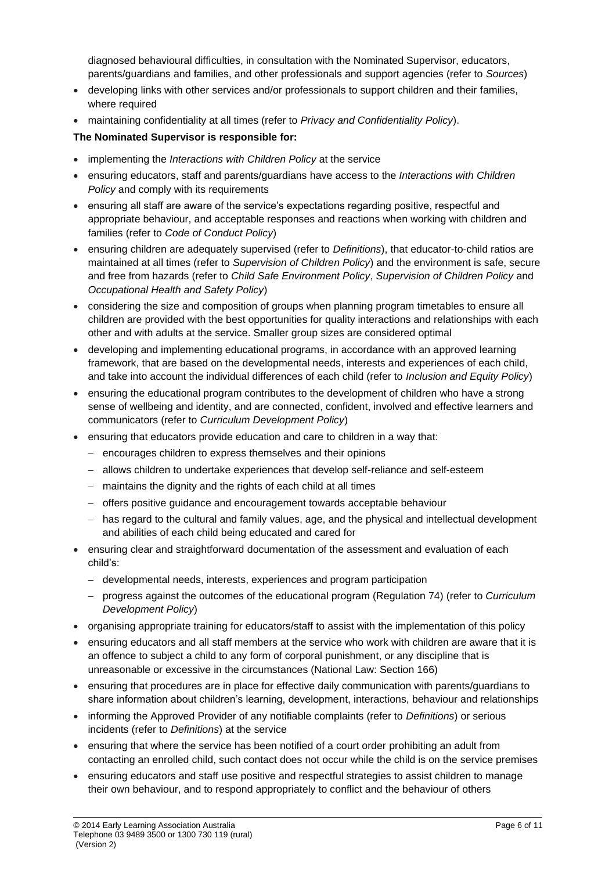diagnosed behavioural difficulties, in consultation with the Nominated Supervisor, educators, parents/guardians and families, and other professionals and support agencies (refer to *Sources*)

- developing links with other services and/or professionals to support children and their families, where required
- maintaining confidentiality at all times (refer to *Privacy and Confidentiality Policy*).

### **The Nominated Supervisor is responsible for:**

- implementing the *Interactions with Children Policy* at the service
- ensuring educators, staff and parents/guardians have access to the *Interactions with Children Policy* and comply with its requirements
- ensuring all staff are aware of the service's expectations regarding positive, respectful and appropriate behaviour, and acceptable responses and reactions when working with children and families (refer to *Code of Conduct Policy*)
- ensuring children are adequately supervised (refer to *Definitions*), that educator-to-child ratios are maintained at all times (refer to *Supervision of Children Policy*) and the environment is safe, secure and free from hazards (refer to *Child Safe Environment Policy*, *Supervision of Children Policy* and *Occupational Health and Safety Policy*)
- considering the size and composition of groups when planning program timetables to ensure all children are provided with the best opportunities for quality interactions and relationships with each other and with adults at the service. Smaller group sizes are considered optimal
- developing and implementing educational programs, in accordance with an approved learning framework, that are based on the developmental needs, interests and experiences of each child, and take into account the individual differences of each child (refer to *Inclusion and Equity Policy*)
- ensuring the educational program contributes to the development of children who have a strong sense of wellbeing and identity, and are connected, confident, involved and effective learners and communicators (refer to *Curriculum Development Policy*)
- ensuring that educators provide education and care to children in a way that:
	- − encourages children to express themselves and their opinions
	- − allows children to undertake experiences that develop self-reliance and self-esteem
	- − maintains the dignity and the rights of each child at all times
	- − offers positive guidance and encouragement towards acceptable behaviour
	- − has regard to the cultural and family values, age, and the physical and intellectual development and abilities of each child being educated and cared for
- ensuring clear and straightforward documentation of the assessment and evaluation of each child's:
	- − developmental needs, interests, experiences and program participation
	- − progress against the outcomes of the educational program (Regulation 74) (refer to *Curriculum Development Policy*)
- organising appropriate training for educators/staff to assist with the implementation of this policy
- ensuring educators and all staff members at the service who work with children are aware that it is an offence to subject a child to any form of corporal punishment, or any discipline that is unreasonable or excessive in the circumstances (National Law: Section 166)
- ensuring that procedures are in place for effective daily communication with parents/guardians to share information about children's learning, development, interactions, behaviour and relationships
- informing the Approved Provider of any notifiable complaints (refer to *Definitions*) or serious incidents (refer to *Definitions*) at the service
- ensuring that where the service has been notified of a court order prohibiting an adult from contacting an enrolled child, such contact does not occur while the child is on the service premises
- ensuring educators and staff use positive and respectful strategies to assist children to manage their own behaviour, and to respond appropriately to conflict and the behaviour of others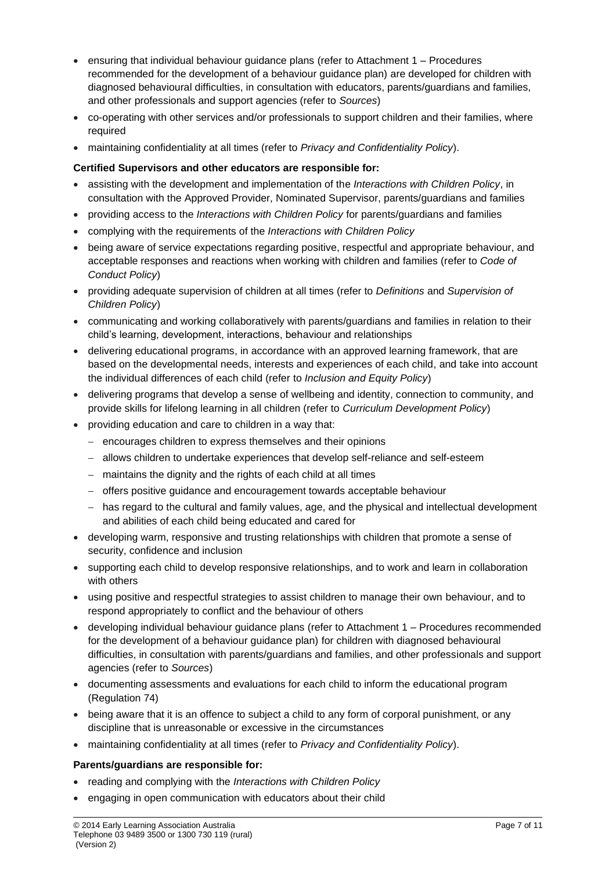- ensuring that individual behaviour guidance plans (refer to Attachment 1 Procedures recommended for the development of a behaviour guidance plan) are developed for children with diagnosed behavioural difficulties, in consultation with educators, parents/guardians and families, and other professionals and support agencies (refer to *Sources*)
- co-operating with other services and/or professionals to support children and their families, where required
- maintaining confidentiality at all times (refer to *Privacy and Confidentiality Policy*).

#### **Certified Supervisors and other educators are responsible for:**

- assisting with the development and implementation of the *Interactions with Children Policy*, in consultation with the Approved Provider, Nominated Supervisor, parents/guardians and families
- providing access to the *Interactions with Children Policy* for parents/guardians and families
- complying with the requirements of the *Interactions with Children Policy*
- being aware of service expectations regarding positive, respectful and appropriate behaviour, and acceptable responses and reactions when working with children and families (refer to *Code of Conduct Policy*)
- providing adequate supervision of children at all times (refer to *Definitions* and *Supervision of Children Policy*)
- communicating and working collaboratively with parents/guardians and families in relation to their child's learning, development, interactions, behaviour and relationships
- delivering educational programs, in accordance with an approved learning framework, that are based on the developmental needs, interests and experiences of each child, and take into account the individual differences of each child (refer to *Inclusion and Equity Policy*)
- delivering programs that develop a sense of wellbeing and identity, connection to community, and provide skills for lifelong learning in all children (refer to *Curriculum Development Policy*)
- providing education and care to children in a way that:
	- − encourages children to express themselves and their opinions
	- − allows children to undertake experiences that develop self-reliance and self-esteem
	- − maintains the dignity and the rights of each child at all times
	- − offers positive guidance and encouragement towards acceptable behaviour
	- − has regard to the cultural and family values, age, and the physical and intellectual development and abilities of each child being educated and cared for
- developing warm, responsive and trusting relationships with children that promote a sense of security, confidence and inclusion
- supporting each child to develop responsive relationships, and to work and learn in collaboration with others
- using positive and respectful strategies to assist children to manage their own behaviour, and to respond appropriately to conflict and the behaviour of others
- developing individual behaviour guidance plans (refer to Attachment 1 Procedures recommended for the development of a behaviour guidance plan) for children with diagnosed behavioural difficulties, in consultation with parents/guardians and families, and other professionals and support agencies (refer to *Sources*)
- documenting assessments and evaluations for each child to inform the educational program (Regulation 74)
- being aware that it is an offence to subject a child to any form of corporal punishment, or any discipline that is unreasonable or excessive in the circumstances
- maintaining confidentiality at all times (refer to *Privacy and Confidentiality Policy*).

#### **Parents/guardians are responsible for:**

- reading and complying with the *Interactions with Children Policy*
- engaging in open communication with educators about their child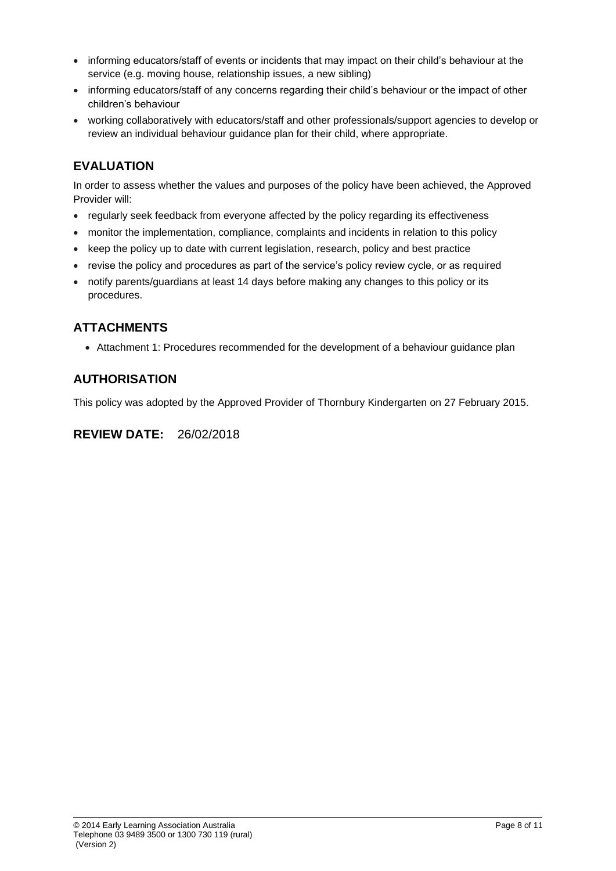- informing educators/staff of events or incidents that may impact on their child's behaviour at the service (e.g. moving house, relationship issues, a new sibling)
- informing educators/staff of any concerns regarding their child's behaviour or the impact of other children's behaviour
- working collaboratively with educators/staff and other professionals/support agencies to develop or review an individual behaviour guidance plan for their child, where appropriate.

# **EVALUATION**

In order to assess whether the values and purposes of the policy have been achieved, the Approved Provider will:

- regularly seek feedback from everyone affected by the policy regarding its effectiveness
- monitor the implementation, compliance, complaints and incidents in relation to this policy
- keep the policy up to date with current legislation, research, policy and best practice
- revise the policy and procedures as part of the service's policy review cycle, or as required
- notify parents/guardians at least 14 days before making any changes to this policy or its procedures.

# **ATTACHMENTS**

• Attachment 1: Procedures recommended for the development of a behaviour guidance plan

# **AUTHORISATION**

This policy was adopted by the Approved Provider of Thornbury Kindergarten on 27 February 2015.

**REVIEW DATE:** 26/02/2018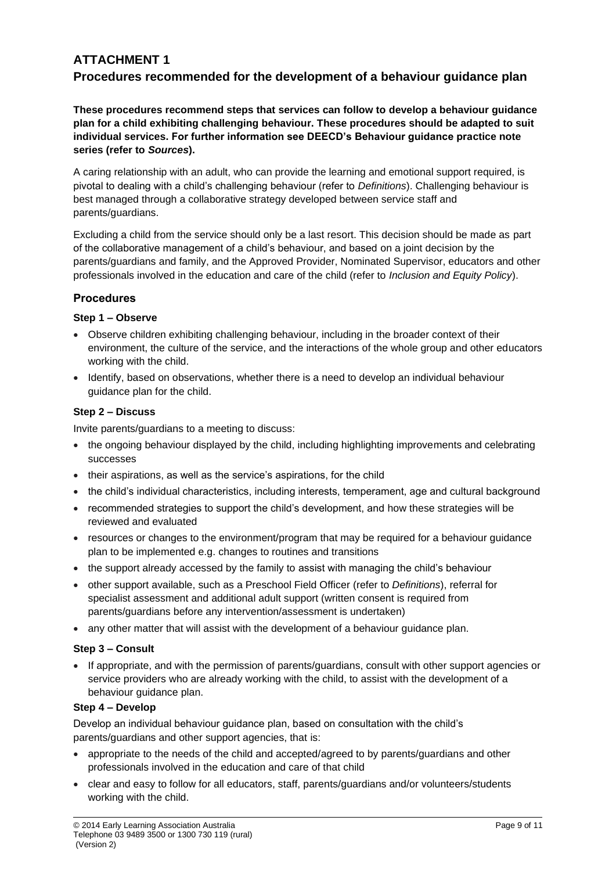# **ATTACHMENT 1 Procedures recommended for the development of a behaviour guidance plan**

**These procedures recommend steps that services can follow to develop a behaviour guidance plan for a child exhibiting challenging behaviour. These procedures should be adapted to suit individual services. For further information see DEECD's Behaviour guidance practice note series (refer to** *Sources***).**

A caring relationship with an adult, who can provide the learning and emotional support required, is pivotal to dealing with a child's challenging behaviour (refer to *Definitions*). Challenging behaviour is best managed through a collaborative strategy developed between service staff and parents/guardians.

Excluding a child from the service should only be a last resort. This decision should be made as part of the collaborative management of a child's behaviour, and based on a joint decision by the parents/guardians and family, and the Approved Provider, Nominated Supervisor, educators and other professionals involved in the education and care of the child (refer to *Inclusion and Equity Policy*).

### **Procedures**

### **Step 1 – Observe**

- Observe children exhibiting challenging behaviour, including in the broader context of their environment, the culture of the service, and the interactions of the whole group and other educators working with the child.
- Identify, based on observations, whether there is a need to develop an individual behaviour guidance plan for the child.

### **Step 2 – Discuss**

Invite parents/guardians to a meeting to discuss:

- the ongoing behaviour displayed by the child, including highlighting improvements and celebrating successes
- their aspirations, as well as the service's aspirations, for the child
- the child's individual characteristics, including interests, temperament, age and cultural background
- recommended strategies to support the child's development, and how these strategies will be reviewed and evaluated
- resources or changes to the environment/program that may be required for a behaviour guidance plan to be implemented e.g. changes to routines and transitions
- the support already accessed by the family to assist with managing the child's behaviour
- other support available, such as a Preschool Field Officer (refer to *Definitions*), referral for specialist assessment and additional adult support (written consent is required from parents/guardians before any intervention/assessment is undertaken)
- any other matter that will assist with the development of a behaviour guidance plan.

### **Step 3 – Consult**

• If appropriate, and with the permission of parents/guardians, consult with other support agencies or service providers who are already working with the child, to assist with the development of a behaviour guidance plan.

#### **Step 4 – Develop**

Develop an individual behaviour guidance plan, based on consultation with the child's parents/guardians and other support agencies, that is:

- appropriate to the needs of the child and accepted/agreed to by parents/guardians and other professionals involved in the education and care of that child
- clear and easy to follow for all educators, staff, parents/guardians and/or volunteers/students working with the child.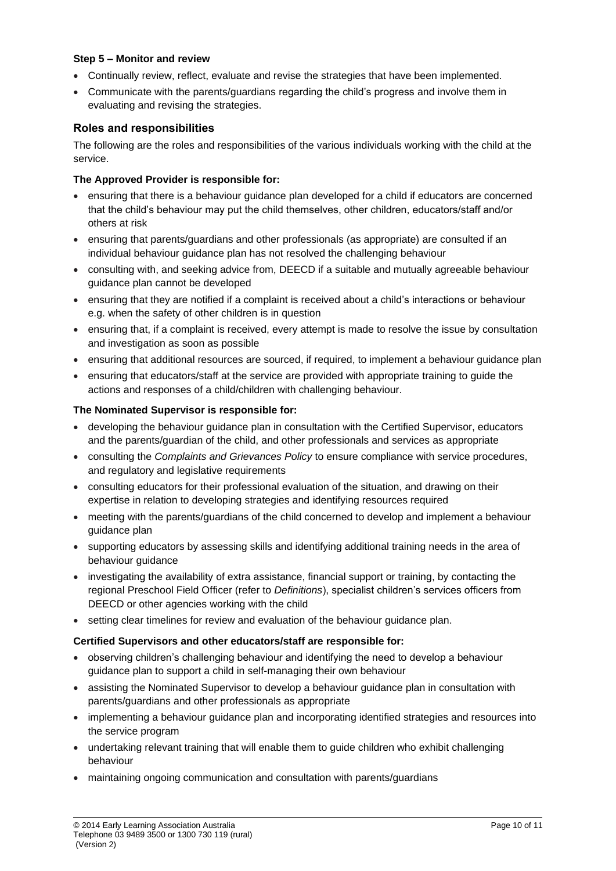#### **Step 5 – Monitor and review**

- Continually review, reflect, evaluate and revise the strategies that have been implemented.
- Communicate with the parents/guardians regarding the child's progress and involve them in evaluating and revising the strategies.

### **Roles and responsibilities**

The following are the roles and responsibilities of the various individuals working with the child at the service.

#### **The Approved Provider is responsible for:**

- ensuring that there is a behaviour guidance plan developed for a child if educators are concerned that the child's behaviour may put the child themselves, other children, educators/staff and/or others at risk
- ensuring that parents/guardians and other professionals (as appropriate) are consulted if an individual behaviour guidance plan has not resolved the challenging behaviour
- consulting with, and seeking advice from, DEECD if a suitable and mutually agreeable behaviour guidance plan cannot be developed
- ensuring that they are notified if a complaint is received about a child's interactions or behaviour e.g. when the safety of other children is in question
- ensuring that, if a complaint is received, every attempt is made to resolve the issue by consultation and investigation as soon as possible
- ensuring that additional resources are sourced, if required, to implement a behaviour quidance plan
- ensuring that educators/staff at the service are provided with appropriate training to guide the actions and responses of a child/children with challenging behaviour.

#### **The Nominated Supervisor is responsible for:**

- developing the behaviour guidance plan in consultation with the Certified Supervisor, educators and the parents/guardian of the child, and other professionals and services as appropriate
- consulting the *Complaints and Grievances Policy* to ensure compliance with service procedures, and regulatory and legislative requirements
- consulting educators for their professional evaluation of the situation, and drawing on their expertise in relation to developing strategies and identifying resources required
- meeting with the parents/guardians of the child concerned to develop and implement a behaviour guidance plan
- supporting educators by assessing skills and identifying additional training needs in the area of behaviour guidance
- investigating the availability of extra assistance, financial support or training, by contacting the regional Preschool Field Officer (refer to *Definitions*), specialist children's services officers from DEECD or other agencies working with the child
- setting clear timelines for review and evaluation of the behaviour guidance plan.

#### **Certified Supervisors and other educators/staff are responsible for:**

- observing children's challenging behaviour and identifying the need to develop a behaviour guidance plan to support a child in self-managing their own behaviour
- assisting the Nominated Supervisor to develop a behaviour guidance plan in consultation with parents/guardians and other professionals as appropriate
- implementing a behaviour guidance plan and incorporating identified strategies and resources into the service program
- undertaking relevant training that will enable them to guide children who exhibit challenging behaviour
- maintaining ongoing communication and consultation with parents/guardians